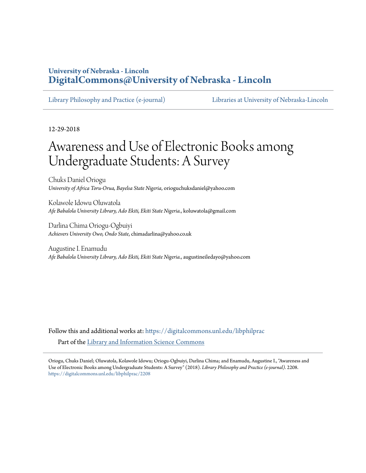## **University of Nebraska - Lincoln [DigitalCommons@University of Nebraska - Lincoln](https://digitalcommons.unl.edu?utm_source=digitalcommons.unl.edu%2Flibphilprac%2F2208&utm_medium=PDF&utm_campaign=PDFCoverPages)**

[Library Philosophy and Practice \(e-journal\)](https://digitalcommons.unl.edu/libphilprac?utm_source=digitalcommons.unl.edu%2Flibphilprac%2F2208&utm_medium=PDF&utm_campaign=PDFCoverPages) [Libraries at University of Nebraska-Lincoln](https://digitalcommons.unl.edu/libraries?utm_source=digitalcommons.unl.edu%2Flibphilprac%2F2208&utm_medium=PDF&utm_campaign=PDFCoverPages)

12-29-2018

# Awareness and Use of Electronic Books among Undergraduate Students: A Survey

Chuks Daniel Oriogu *University of Africa Toru-Orua, Bayelsa State Nigeria*, orioguchuksdaniel@yahoo.com

Kolawole Idowu Oluwatola *Afe Babalola University Library, Ado Ekiti, Ekiti State Nigeria.*, koluwatola@gmail.com

Darlina Chima Oriogu-Ogbuiyi *Achievers University Owo, Ondo State*, chimadarlina@yahoo.co.uk

Augustine I. Enamudu *Afe Babalola University Library, Ado Ekiti, Ekiti State Nigeria.*, augustineiledayo@yahoo.com

Follow this and additional works at: [https://digitalcommons.unl.edu/libphilprac](https://digitalcommons.unl.edu/libphilprac?utm_source=digitalcommons.unl.edu%2Flibphilprac%2F2208&utm_medium=PDF&utm_campaign=PDFCoverPages) Part of the [Library and Information Science Commons](http://network.bepress.com/hgg/discipline/1018?utm_source=digitalcommons.unl.edu%2Flibphilprac%2F2208&utm_medium=PDF&utm_campaign=PDFCoverPages)

Oriogu, Chuks Daniel; Oluwatola, Kolawole Idowu; Oriogu-Ogbuiyi, Darlina Chima; and Enamudu, Augustine I., "Awareness and Use of Electronic Books among Undergraduate Students: A Survey" (2018). *Library Philosophy and Practice (e-journal)*. 2208. [https://digitalcommons.unl.edu/libphilprac/2208](https://digitalcommons.unl.edu/libphilprac/2208?utm_source=digitalcommons.unl.edu%2Flibphilprac%2F2208&utm_medium=PDF&utm_campaign=PDFCoverPages)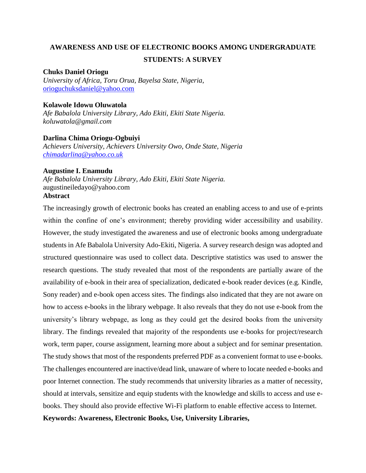# **AWARENESS AND USE OF ELECTRONIC BOOKS AMONG UNDERGRADUATE STUDENTS: A SURVEY**

#### **Chuks Daniel Oriogu**

*University of Africa, Toru Orua, Bayelsa State, Nigeria*, [orioguchuksdaniel@yahoo.com](mailto:orioguchuksdaniel@yahoo.com)

#### **Kolawole Idowu Oluwatola**

*Afe Babalola University Library, Ado Ekiti, Ekiti State Nigeria. koluwatola@gmail.com*

#### **Darlina Chima Oriogu-Ogbuiyi** *Achievers University, Achievers University Owo, Onde State, Nigeria [chimadarlina@yahoo.co.uk](mailto:chimadarlina@yahoo.co.uk)*

#### **Augustine I. Enamudu**

*Afe Babalola University Library, Ado Ekiti, Ekiti State Nigeria.* augustineiledayo@yahoo.com **Abstract**

The increasingly growth of electronic books has created an enabling access to and use of e-prints within the confine of one's environment; thereby providing wider accessibility and usability. However, the study investigated the awareness and use of electronic books among undergraduate students in Afe Babalola University Ado-Ekiti, Nigeria. A survey research design was adopted and structured questionnaire was used to collect data. Descriptive statistics was used to answer the research questions. The study revealed that most of the respondents are partially aware of the availability of e-book in their area of specialization, dedicated e-book reader devices (e.g. Kindle, Sony reader) and e-book open access sites. The findings also indicated that they are not aware on how to access e-books in the library webpage. It also reveals that they do not use e-book from the university's library webpage, as long as they could get the desired books from the university library. The findings revealed that majority of the respondents use e-books for project/research work, term paper, course assignment, learning more about a subject and for seminar presentation. The study shows that most of the respondents preferred PDF as a convenient format to use e-books. The challenges encountered are inactive/dead link, unaware of where to locate needed e-books and poor Internet connection. The study recommends that university libraries as a matter of necessity, should at intervals, sensitize and equip students with the knowledge and skills to access and use ebooks. They should also provide effective Wi-Fi platform to enable effective access to Internet.

#### **Keywords: Awareness, Electronic Books, Use, University Libraries,**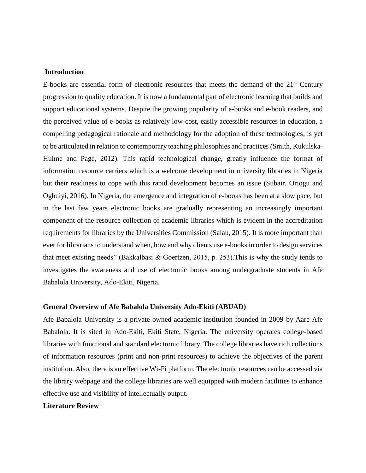#### **Introduction**

E-books are essential form of electronic resources that meets the demand of the  $21<sup>st</sup>$  Century progression to quality education. It is now a fundamental part of electronic learning that builds and support educational systems. Despite the growing popularity of e-books and e-book readers, and the perceived value of e-books as relatively low-cost, easily accessible resources in education, a compelling pedagogical rationale and methodology for the adoption of these technologies, is yet to be articulated in relation to contemporary teaching philosophies and practices (Smith, Kukulska-Hulme and Page, 2012). This rapid technological change, greatly influence the format of information resource carriers which is a welcome development in university libraries in Nigeria but their readiness to cope with this rapid development becomes an issue (Subair, Oriogu and Ogbuiyi, 2016). In Nigeria, the emergence and integration of e-books has been at a slow pace, but in the last few years electronic books are gradually representing an increasingly important component of the resource collection of academic libraries which is evident in the accreditation requirements for libraries by the Universities Commission (Salau, 2015). It is more important than ever for librarians to understand when, how and why clients use e-books in order to design services that meet existing needs" (Bakkalbasi & Goertzen, 2015, p. 253).This is why the study tends to investigates the awareness and use of electronic books among undergraduate students in Afe Babalola University, Ado-Ekiti, Nigeria.

#### **General Overview of Afe Babalola University Ado-Ekiti (ABUAD)**

Afe Babalola University is a private owned academic institution founded in 2009 by Aare Afe Babalola. It is sited in Ado-Ekiti, Ekiti State, Nigeria. The university operates college-based libraries with functional and standard electronic library. The college libraries have rich collections of information resources (print and non-print resources) to achieve the objectives of the parent institution. Also, there is an effective Wi-Fi platform. The electronic resources can be accessed via the library webpage and the college libraries are well equipped with modern facilities to enhance effective use and visibility of intellectually output.

#### **Literature Review**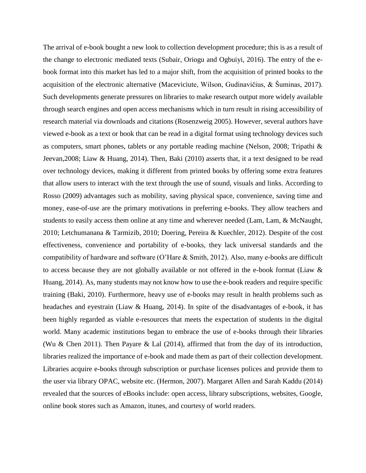The arrival of e-book bought a new look to collection development procedure; this is as a result of the change to electronic mediated texts (Subair, Oriogu and Ogbuiyi, 2016). The entry of the ebook format into this market has led to a major shift, from the acquisition of printed books to the acquisition of the electronic alternative (Maceviciute, Wilson, Gudinavičius, & Šuminas, 2017). Such developments generate pressures on libraries to make research output more widely available through search engines and open access mechanisms which in turn result in rising accessibility of research material via downloads and citations (Rosenzweig 2005). However, several authors have viewed e-book as a text or book that can be read in a digital format using technology devices such as computers, smart phones, tablets or any portable reading machine (Nelson, 2008; Tripathi & Jeevan,2008; Liaw & Huang, 2014). Then, Baki (2010) asserts that, it a text designed to be read over technology devices, making it different from printed books by offering some extra features that allow users to interact with the text through the use of sound, visuals and links. According to Rosso (2009) advantages such as mobility, saving physical space, convenience, saving time and money, ease-of-use are the primary motivations in preferring e-books. They allow teachers and students to easily access them online at any time and wherever needed (Lam, Lam, & McNaught, 2010; Letchumanana & Tarmizib, 2010; Doering, Pereira & Kuechler, 2012). Despite of the cost effectiveness, convenience and portability of e-books, they lack universal standards and the compatibility of hardware and software (O'Hare & Smith, 2012). Also, many e-books are difficult to access because they are not globally available or not offered in the e-book format (Liaw & Huang, 2014). As, many students may not know how to use the e-book readers and require specific training (Baki, 2010). Furthermore, heavy use of e-books may result in health problems such as headaches and eyestrain (Liaw & Huang, 2014). In spite of the disadvantages of e-book, it has been highly regarded as viable e-resources that meets the expectation of students in the digital world. Many academic institutions began to embrace the use of e-books through their libraries (Wu & Chen 2011). Then Payare & Lal (2014), affirmed that from the day of its introduction, libraries realized the importance of e-book and made them as part of their collection development. Libraries acquire e-books through subscription or purchase licenses polices and provide them to the user via library OPAC, website etc. (Hermon, 2007). Margaret Allen and Sarah Kaddu (2014) revealed that the sources of eBooks include: open access, library subscriptions, websites, Google, online book stores such as Amazon, itunes, and courtesy of world readers.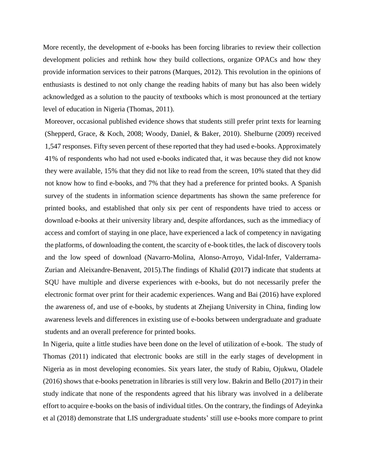More recently, the development of e-books has been forcing libraries to review their collection development policies and rethink how they build collections, organize OPACs and how they provide information services to their patrons (Marques, 2012). This revolution in the opinions of enthusiasts is destined to not only change the reading habits of many but has also been widely acknowledged as a solution to the paucity of textbooks which is most pronounced at the tertiary level of education in Nigeria (Thomas, 2011).

Moreover, occasional published evidence shows that students still prefer print texts for learning (Shepperd, Grace, & Koch, 2008; Woody, Daniel, & Baker, 2010). Shelburne (2009) received 1,547 responses. Fifty seven percent of these reported that they had used e-books. Approximately 41% of respondents who had not used e-books indicated that, it was because they did not know they were available, 15% that they did not like to read from the screen, 10% stated that they did not know how to find e-books, and 7% that they had a preference for printed books. A Spanish survey of the students in information science departments has shown the same preference for printed books, and established that only six per cent of respondents have tried to access or download e-books at their university library and, despite affordances, such as the immediacy of access and comfort of staying in one place, have experienced a lack of competency in navigating the platforms, of downloading the content, the scarcity of e-book titles, the lack of discovery tools and the low speed of download [\(Navarro-Molina, Alonso-Arroyo,](http://www.informationr.net/ir/22-3/paper762.html#nav15) Vidal-Infer, Valderrama-[Zurian and Aleixandre-Benavent, 2015\)](http://www.informationr.net/ir/22-3/paper762.html#nav15).The findings of Khalid **(**2017**)** indicate that students at SQU have multiple and diverse experiences with e-books, but do not necessarily prefer the electronic format over print for their academic experiences. Wang and Bai [\(2016\)](http://www.informationr.net/ir/22-3/paper762.html#wan16) have explored the awareness of, and use of e-books, by students at Zhejiang University in China, finding low awareness levels and differences in existing use of e-books between undergraduate and graduate students and an overall preference for printed books.

In Nigeria, quite a little studies have been done on the level of utilization of e-book. The study of Thomas (2011) indicated that electronic books are still in the early stages of development in Nigeria as in most developing economies. Six years later, the study of Rabiu, Ojukwu, Oladele (2016) shows that e-books penetration in libraries is still very low. Bakrin and Bello (2017) in their study indicate that none of the respondents agreed that his library was involved in a deliberate effort to acquire e-books on the basis of individual titles. On the contrary, the findings of Adeyinka et al (2018) demonstrate that LIS undergraduate students' still use e-books more compare to print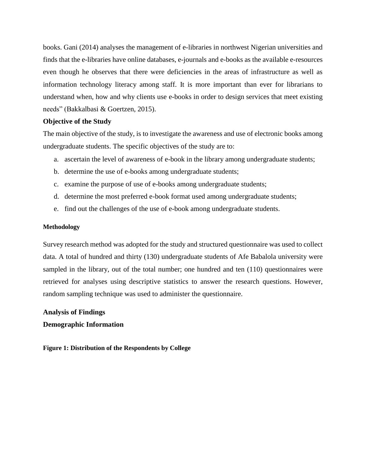books. Gani (2014) analyses the management of e-libraries in northwest Nigerian universities and finds that the e-libraries have online databases, e-journals and e-books as the available e-resources even though he observes that there were deficiencies in the areas of infrastructure as well as information technology literacy among staff. It is more important than ever for librarians to understand when, how and why clients use e-books in order to design services that meet existing needs" (Bakkalbasi & Goertzen, 2015).

#### **Objective of the Study**

The main objective of the study, is to investigate the awareness and use of electronic books among undergraduate students. The specific objectives of the study are to:

- a. ascertain the level of awareness of e-book in the library among undergraduate students;
- b. determine the use of e-books among undergraduate students;
- c. examine the purpose of use of e-books among undergraduate students;
- d. determine the most preferred e-book format used among undergraduate students;
- e. find out the challenges of the use of e-book among undergraduate students.

#### **Methodology**

Survey research method was adopted for the study and structured questionnaire was used to collect data. A total of hundred and thirty (130) undergraduate students of Afe Babalola university were sampled in the library, out of the total number; one hundred and ten  $(110)$  questionnaires were retrieved for analyses using descriptive statistics to answer the research questions. However, random sampling technique was used to administer the questionnaire.

# **Analysis of Findings**

#### **Demographic Information**

**Figure 1: Distribution of the Respondents by College**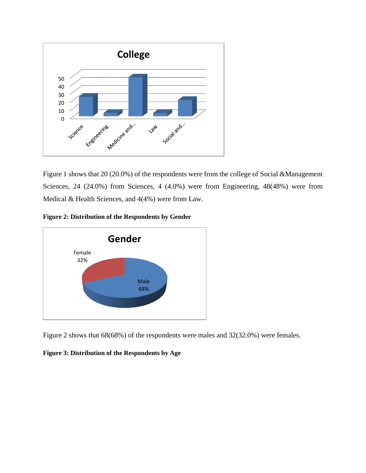

Figure 1 shows that 20 (20.0%) of the respondents were from the college of Social &Management Sciences, 24 (24.0%) from Sciences, 4 (4.0%) were from Engineering, 48(48%) were from Medical & Health Sciences, and 4(4%) were from Law.





Figure 2 shows that 68(68%) of the respondents were males and 32(32.0%) were females.

#### **Figure 3: Distribution of the Respondents by Age**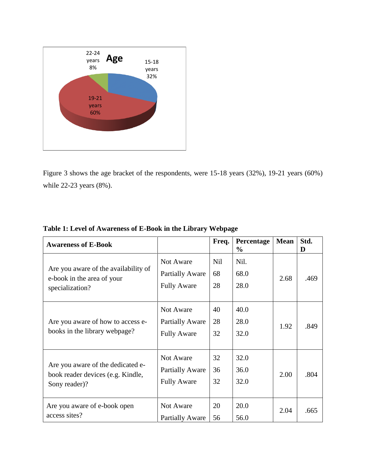

Figure 3 shows the age bracket of the respondents, were 15-18 years (32%), 19-21 years (60%) while 22-23 years (8%).

| <b>Awareness of E-Book</b>                                                              |                                                           | Freq.                  | Percentage<br>$\%$   | <b>Mean</b> | Std.<br>D |
|-----------------------------------------------------------------------------------------|-----------------------------------------------------------|------------------------|----------------------|-------------|-----------|
| Are you aware of the availability of<br>e-book in the area of your<br>specialization?   | Not Aware<br><b>Partially Aware</b><br><b>Fully Aware</b> | <b>Nil</b><br>68<br>28 | Nil.<br>68.0<br>28.0 | 2.68        | .469      |
| Are you aware of how to access e-<br>books in the library webpage?                      | Not Aware<br><b>Partially Aware</b><br><b>Fully Aware</b> | 40<br>28<br>32         | 40.0<br>28.0<br>32.0 | 1.92        | .849      |
| Are you aware of the dedicated e-<br>book reader devices (e.g. Kindle,<br>Sony reader)? | Not Aware<br><b>Partially Aware</b><br><b>Fully Aware</b> | 32<br>36<br>32         | 32.0<br>36.0<br>32.0 | 2.00        | .804      |
| Are you aware of e-book open<br>access sites?                                           | Not Aware<br><b>Partially Aware</b>                       | 20<br>56               | 20.0<br>56.0         | 2.04        | .665      |

### **Table 1: Level of Awareness of E-Book in the Library Webpage**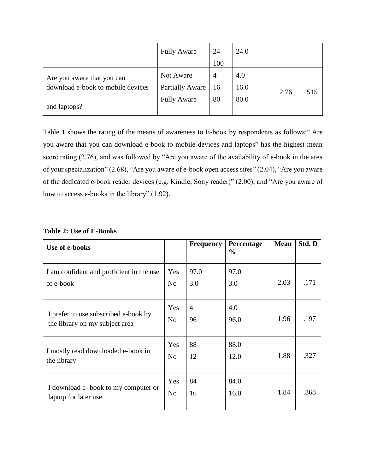|                                   | <b>Fully Aware</b>     | 24  | 24.0 |      |      |
|-----------------------------------|------------------------|-----|------|------|------|
|                                   |                        | 100 |      |      |      |
| Are you aware that you can        | Not Aware              | 4   | 4.0  |      |      |
| download e-book to mobile devices | <b>Partially Aware</b> | 16  | 16.0 | 2.76 | .515 |
| and laptops?                      | <b>Fully Aware</b>     | 80  | 80.0 |      |      |

Table 1 shows the rating of the means of awareness to E-book by respondents as follows:" Are you aware that you can download e-book to mobile devices and laptops" has the highest mean score rating (2.76), and was followed by "Are you aware of the availability of e-book in the area of your specialization" (2.68), "Are you aware of e-book open access sites" (2.04), "Are you aware of the dedicated e-book reader devices (e.g. Kindle, Sony reader)" (2.00), and "Are you aware of how to access e-books in the library" (1.92).

| Use of e-books                                                         |                       | <b>Frequency</b>     | Percentage<br>$\frac{0}{0}$ | <b>Mean</b> | Std. D |
|------------------------------------------------------------------------|-----------------------|----------------------|-----------------------------|-------------|--------|
| I am confident and proficient in the use<br>of e-book                  | Yes<br>N <sub>0</sub> | 97.0<br>3.0          | 97.0<br>3.0                 | 2.03        | .171   |
| I prefer to use subscribed e-book by<br>the library on my subject area | Yes<br>N <sub>0</sub> | $\overline{4}$<br>96 | 4.0<br>96.0                 | 1.96        | .197   |
| I mostly read downloaded e-book in<br>the library                      | Yes<br>N <sub>0</sub> | 88<br>12             | 88.0<br>12.0                | 1.88        | .327   |
| I download e- book to my computer or<br>laptop for later use           | Yes<br>N <sub>0</sub> | 84<br>16             | 84.0<br>16.0                | 1.84        | .368   |

#### **Table 2: Use of E-Books**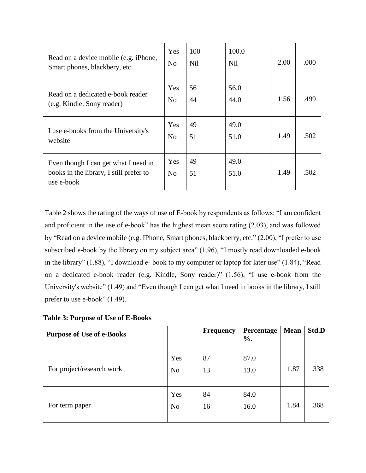| Read on a device mobile (e.g. iPhone,<br>Smart phones, blackbery, etc.                        | Yes<br>N <sub>0</sub> | 100<br><b>Nil</b> | 100.0<br><b>Nil</b> | 2.00 | .000 |
|-----------------------------------------------------------------------------------------------|-----------------------|-------------------|---------------------|------|------|
| Read on a dedicated e-book reader<br>(e.g. Kindle, Sony reader)                               | Yes<br>N <sub>0</sub> | 56<br>44          | 56.0<br>44.0        | 1.56 | .499 |
| I use e-books from the University's<br>website                                                | Yes<br>N <sub>0</sub> | 49<br>51          | 49.0<br>51.0        | 1.49 | .502 |
| Even though I can get what I need in<br>books in the library, I still prefer to<br>use e-book | Yes<br>N <sub>o</sub> | 49<br>51          | 49.0<br>51.0        | 1.49 | .502 |

Table 2 shows the rating of the ways of use of E-book by respondents as follows: "I am confident and proficient in the use of e-book" has the highest mean score rating (2.03), and was followed by "Read on a device mobile (e.g. IPhone, Smart phones, blackberry, etc." (2.00), "I prefer to use subscribed e-book by the library on my subject area" (1.96), "I mostly read downloaded e-book in the library" (1.88), "I download e- book to my computer or laptop for later use" (1.84), "Read on a dedicated e-book reader (e.g. Kindle, Sony reader)" (1.56), "I use e-book from the University's website" (1.49) and "Even though I can get what I need in books in the library, I still prefer to use e-book" (1.49).

| Table 3: Purpose of Use of E-Books |  |  |
|------------------------------------|--|--|
|------------------------------------|--|--|

| <b>Purpose of Use of e-Books</b> |                       | <b>Frequency</b> | Percentage<br>$\%$ . | <b>Mean</b> | Std.D |
|----------------------------------|-----------------------|------------------|----------------------|-------------|-------|
| For project/research work        | Yes<br>N <sub>o</sub> | 87<br>13         | 87.0<br>13.0         | 1.87        | .338  |
| For term paper                   | Yes<br>N <sub>o</sub> | 84<br>16         | 84.0<br>16.0         | 1.84        | .368  |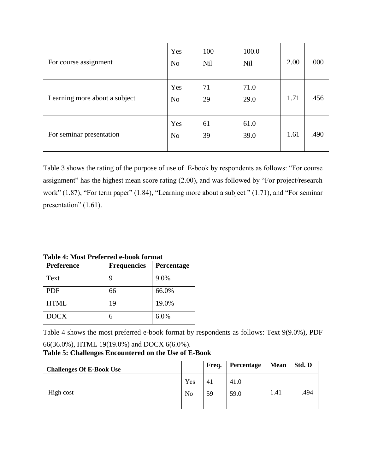| For course assignment         | Yes<br>N <sub>o</sub> | 100<br><b>Nil</b> | 100.0<br>Nil | 2.00 | .000 |
|-------------------------------|-----------------------|-------------------|--------------|------|------|
| Learning more about a subject | Yes<br>N <sub>o</sub> | 71<br>29          | 71.0<br>29.0 | 1.71 | .456 |
| For seminar presentation      | Yes<br>N <sub>o</sub> | 61<br>39          | 61.0<br>39.0 | 1.61 | .490 |

Table 3 shows the rating of the purpose of use of E-book by respondents as follows: "For course assignment" has the highest mean score rating (2.00), and was followed by "For project/research work" (1.87), "For term paper" (1.84), "Learning more about a subject " (1.71), and "For seminar presentation" (1.61).

**Table 4: Most Preferred e-book format**

| Preference  | <b>Frequencies</b> | Percentage |
|-------------|--------------------|------------|
| Text        |                    | 9.0%       |
| <b>PDF</b>  | 66                 | 66.0%      |
| <b>HTML</b> | 19                 | 19.0%      |
| <b>DOCX</b> | 6                  | 6.0%       |

Table 4 shows the most preferred e-book format by respondents as follows: Text 9(9.0%), PDF

66(36.0%), HTML 19(19.0%) and DOCX 6(6.0%). **Table 5: Challenges Encountered on the Use of E-Book** 

| <b>Challenges Of E-Book Use</b> |           | Freq.    | Percentage   | <b>Mean</b> | Std. D |
|---------------------------------|-----------|----------|--------------|-------------|--------|
| High cost                       | Yes<br>No | 41<br>59 | 41.0<br>59.0 | 1.41        | .494   |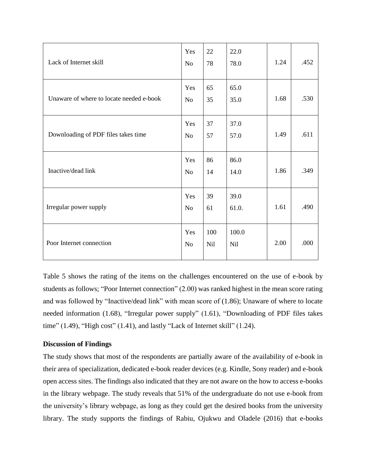| Lack of Internet skill                   | Yes<br>N <sub>o</sub> | 22<br>78               | 22.0<br>78.0  | 1.24 | .452 |
|------------------------------------------|-----------------------|------------------------|---------------|------|------|
| Unaware of where to locate needed e-book | Yes<br><b>No</b>      | 65<br>35               | 65.0<br>35.0  | 1.68 | .530 |
| Downloading of PDF files takes time      | Yes<br>N <sub>o</sub> | 37<br>57               | 37.0<br>57.0  | 1.49 | .611 |
| Inactive/dead link                       | Yes<br>N <sub>o</sub> | 86<br>14               | 86.0<br>14.0  | 1.86 | .349 |
| Irregular power supply                   | Yes<br>N <sub>o</sub> | 39<br>61               | 39.0<br>61.0. | 1.61 | .490 |
| Poor Internet connection                 | Yes<br>N <sub>o</sub> | 100<br>N <sub>il</sub> | 100.0<br>Nil  | 2.00 | .000 |

Table 5 shows the rating of the items on the challenges encountered on the use of e-book by students as follows; "Poor Internet connection" (2.00) was ranked highest in the mean score rating and was followed by "Inactive/dead link" with mean score of (1.86); Unaware of where to locate needed information (1.68), "Irregular power supply" (1.61), "Downloading of PDF files takes time"  $(1.49)$ , "High cost"  $(1.41)$ , and lastly "Lack of Internet skill"  $(1.24)$ .

#### **Discussion of Findings**

The study shows that most of the respondents are partially aware of the availability of e-book in their area of specialization, dedicated e-book reader devices (e.g. Kindle, Sony reader) and e-book open access sites. The findings also indicated that they are not aware on the how to access e-books in the library webpage. The study reveals that 51% of the undergraduate do not use e-book from the university's library webpage, as long as they could get the desired books from the university library. The study supports the findings of Rabiu, Ojukwu and Oladele (2016) that e-books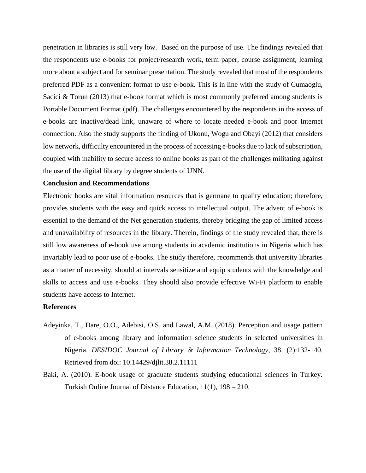penetration in libraries is still very low. Based on the purpose of use. The findings revealed that the respondents use e-books for project/research work, term paper, course assignment, learning more about a subject and for seminar presentation. The study revealed that most of the respondents preferred PDF as a convenient format to use e-book. This is in line with the study of Cumaoglu, Sacici & Torun (2013) that e-book format which is most commonly preferred among students is Portable Document Format (pdf). The challenges encountered by the respondents in the access of e-books are inactive/dead link, unaware of where to locate needed e-book and poor Internet connection. Also the study supports the finding of Ukonu, Wogu and Obayi (2012) that considers low network, difficulty encountered in the process of accessing e-books due to lack of subscription, coupled with inability to secure access to online books as part of the challenges militating against the use of the digital library by degree students of UNN.

#### **Conclusion and Recommendations**

Electronic books are vital information resources that is germane to quality education; therefore, provides students with the easy and quick access to intellectual output. The advent of e-book is essential to the demand of the Net generation students, thereby bridging the gap of limited access and unavailability of resources in the library. Therein, findings of the study revealed that, there is still low awareness of e-book use among students in academic institutions in Nigeria which has invariably lead to poor use of e-books. The study therefore, recommends that university libraries as a matter of necessity, should at intervals sensitize and equip students with the knowledge and skills to access and use e-books. They should also provide effective Wi-Fi platform to enable students have access to Internet.

#### **References**

- Adeyinka, T., Dare, O.O., Adebisi, O.S. and Lawal, A.M. (2018). Perception and usage pattern of e-books among library and information science students in selected universities in Nigeria. *DESIDOC Journal of Library & Information Technology*, 38. (2):132-140. Retrieved from doi: 10.14429/djlit.38.2.11111
- Baki, A. (2010). E-book usage of graduate students studying educational sciences in Turkey. Turkish Online Journal of Distance Education, 11(1), 198 – 210.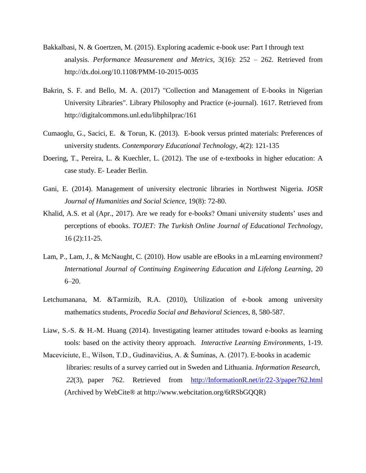- Bakkalbasi, N. & Goertzen, M. (2015). Exploring academic e-book use: Part I through text analysis. *Performance Measurement and Metrics*, 3(16): 252 – 262. Retrieved from http://dx.doi.org/10.1108/PMM-10-2015-0035
- Bakrin, S. F. and Bello, M. A. (2017) "Collection and Management of E-books in Nigerian University Libraries". Library Philosophy and Practice (e-journal). 1617. Retrieved from http://digitalcommons.unl.edu/libphilprac/161
- Cumaoglu, G., Sacici, E. & Torun, K. (2013). E-book versus printed materials: Preferences of university students. *Contemporary Educational Technology*, 4(2): 121-135
- Doering, T., Pereira, L. & Kuechler, L. (2012). The use of e-textbooks in higher education: A case study. E- Leader Berlin.
- Gani, E. (2014). Management of university electronic libraries in Northwest Nigeria. *IOSR Journal of Humanities and Social Science*, 19(8): 72-80.
- Khalid, A.S. et al (Apr., 2017). Are we ready for e-books? Omani university students' uses and perceptions of ebooks. *TOJET: The Turkish Online Journal of Educational Technology*, 16 (2):11-25.
- Lam, P., Lam, J., & McNaught, C. (2010). How usable are eBooks in a mLearning environment? *International Journal of Continuing Engineering Education and Lifelong Learning*, 20  $6 - 20.$
- Letchumanana, M. &Tarmizib, R.A. (2010), Utilization of e-book among university mathematics students, *Procedia Social and Behavioral Sciences*, 8, 580-587.
- Liaw, S.-S. & H.-M. Huang (2014). Investigating learner attitudes toward e-books as learning tools: based on the activity theory approach. *Interactive Learning Environments*, 1-19.
- Maceviciute, E., Wilson, T.D., Gudinavičius, A. & Šuminas, A. (2017). E-books in academic libraries: results of a survey carried out in Sweden and Lithuania. *Information Research, 22*(3), paper 762. Retrieved from [http://InformationR.net/ir/22-3/paper762.html](http://informationr.net/ir/22-3/paper762.html) (Archived by WebCite® at http://www.webcitation.org/6tRSbGQQR)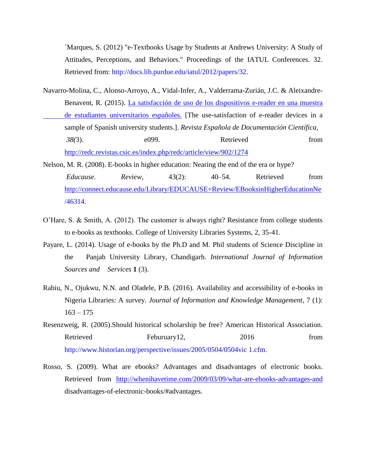`Marques, S. (2012) "e-Textbooks Usage by Students at Andrews University: A Study of Attitudes, Perceptions, and Behaviors." Proceedings of the IATUL Conferences. 32. Retrieved from: http://docs.lib.purdue.edu/iatul/2012/papers/32.

- Navarro-Molina, C., Alonso-Arroyo, A., Vidal-Infer, A., Valderrama-Zurián, J.C. & Aleixandre-Benavent, R. (2015). [La satisfacción de uso de los dispositivos e-reader en una muestra](http://redc.revistas.csic.es/index.php/redc/article/view/902/1274)  de estudiantes [universitarios españoles.](http://redc.revistas.csic.es/index.php/redc/article/view/902/1274) [The use-satisfaction of e-reader devices in a sample of Spanish university students.]. *Revista Española de Documentación Científica, 38(*3). e099. Retrieved from <http://redc.revistas.csic.es/index.php/redc/article/view/902/1274>
- Nelson, M. R. (2008). E-books in higher education: Nearing the end of the era or hype? *Educause. Review*, 43(2): 40–54. Retrieved from <http://connect.educause.edu/Library/EDUCAUSE+Review/EBooksinHigherEducationNe> /46314.
- O'Hare, S. & Smith, A. (2012). The customer is always right? Resistance from college students to e-books as textbooks. College of University Libraries Systems, 2, 35-41.
- Payare, L. (2014). Usage of e-books by the Ph.D and M. Phil students of Science Discipline in the Panjab University Library, Chandigarh. *International Journal of Information Sources and Services* **1** (3).
- Rabiu, N., Ojukwu, N.N. and Oladele, P.B. (2016). Availability and accessibility of e-books in Nigeria Libraries: A survey. *Journal of Information and Knowledge Management*, 7 (1):  $163 - 175$
- Resenzweig, R. (2005).Should historical scholarship be free? American Historical Association. Retrieved Feburuary 12, 2016 from http://www.historian.org/perspective/issues/2005/0504/0504vic 1.cfm.
- Rosso, S. (2009). What are ebooks? Advantages and disadvantages of electronic books. Retrieved from <http://whenihavetime.com/2009/03/09/what-are-ebooks-advantages-and> disadvantages-of-electronic-books/#advantages.